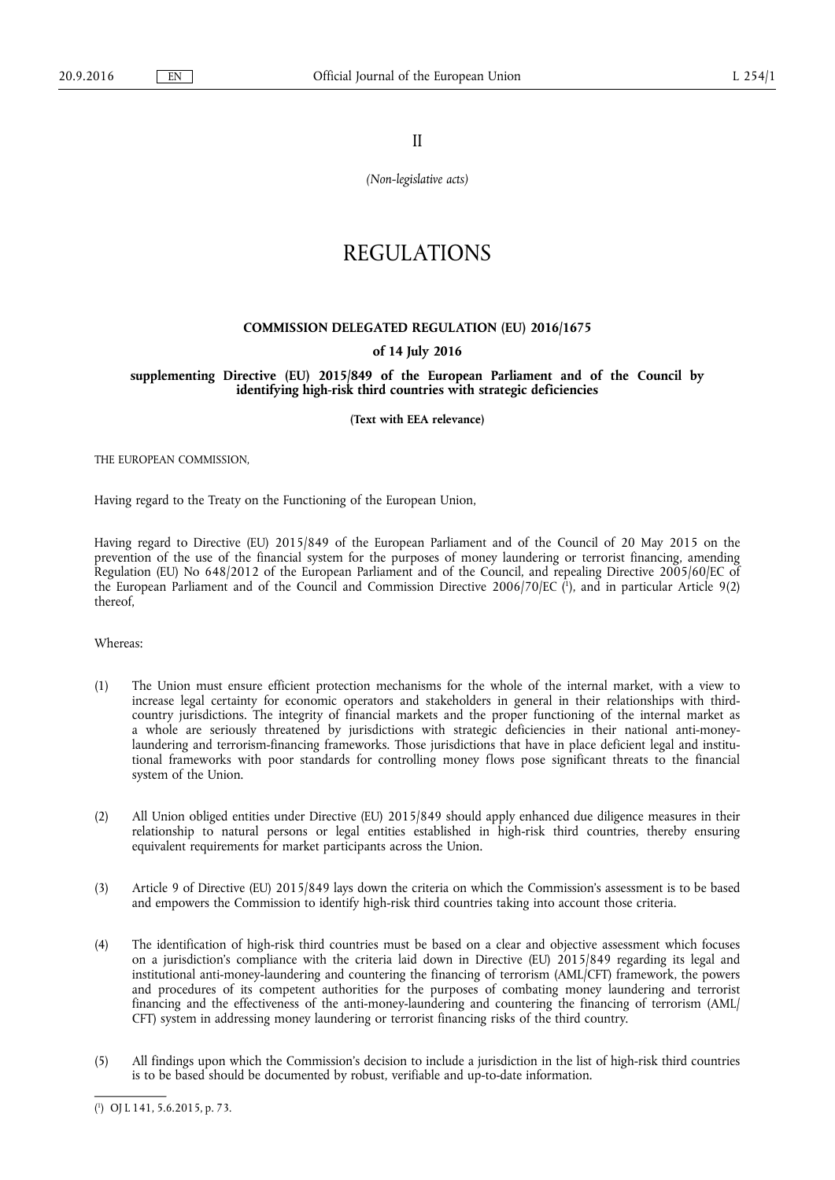II

*(Non-legislative acts)* 

# REGULATIONS

### **COMMISSION DELEGATED REGULATION (EU) 2016/1675**

#### **of 14 July 2016**

## **supplementing Directive (EU) 2015/849 of the European Parliament and of the Council by identifying high-risk third countries with strategic deficiencies**

**(Text with EEA relevance)** 

THE EUROPEAN COMMISSION,

Having regard to the Treaty on the Functioning of the European Union,

Having regard to Directive (EU) 2015/849 of the European Parliament and of the Council of 20 May 2015 on the prevention of the use of the financial system for the purposes of money laundering or terrorist financing, amending Regulation (EU) No 648/2012 of the European Parliament and of the Council, and repealing Directive 2005/60/EC of the European Parliament and of the Council and Commission Directive 2006/70/EC ( 1 ), and in particular Article 9(2) thereof,

Whereas:

- (1) The Union must ensure efficient protection mechanisms for the whole of the internal market, with a view to increase legal certainty for economic operators and stakeholders in general in their relationships with thirdcountry jurisdictions. The integrity of financial markets and the proper functioning of the internal market as a whole are seriously threatened by jurisdictions with strategic deficiencies in their national anti-moneylaundering and terrorism-financing frameworks. Those jurisdictions that have in place deficient legal and institutional frameworks with poor standards for controlling money flows pose significant threats to the financial system of the Union.
- (2) All Union obliged entities under Directive (EU) 2015/849 should apply enhanced due diligence measures in their relationship to natural persons or legal entities established in high-risk third countries, thereby ensuring equivalent requirements for market participants across the Union.
- (3) Article 9 of Directive (EU) 2015/849 lays down the criteria on which the Commission's assessment is to be based and empowers the Commission to identify high-risk third countries taking into account those criteria.
- (4) The identification of high-risk third countries must be based on a clear and objective assessment which focuses on a jurisdiction's compliance with the criteria laid down in Directive (EU) 2015/849 regarding its legal and institutional anti-money-laundering and countering the financing of terrorism (AML/CFT) framework, the powers and procedures of its competent authorities for the purposes of combating money laundering and terrorist financing and the effectiveness of the anti-money-laundering and countering the financing of terrorism (AML/ CFT) system in addressing money laundering or terrorist financing risks of the third country.
- (5) All findings upon which the Commission's decision to include a jurisdiction in the list of high-risk third countries is to be based should be documented by robust, verifiable and up-to-date information.

<sup>(</sup> 1 ) OJ L 141, 5.6.2015, p. 73.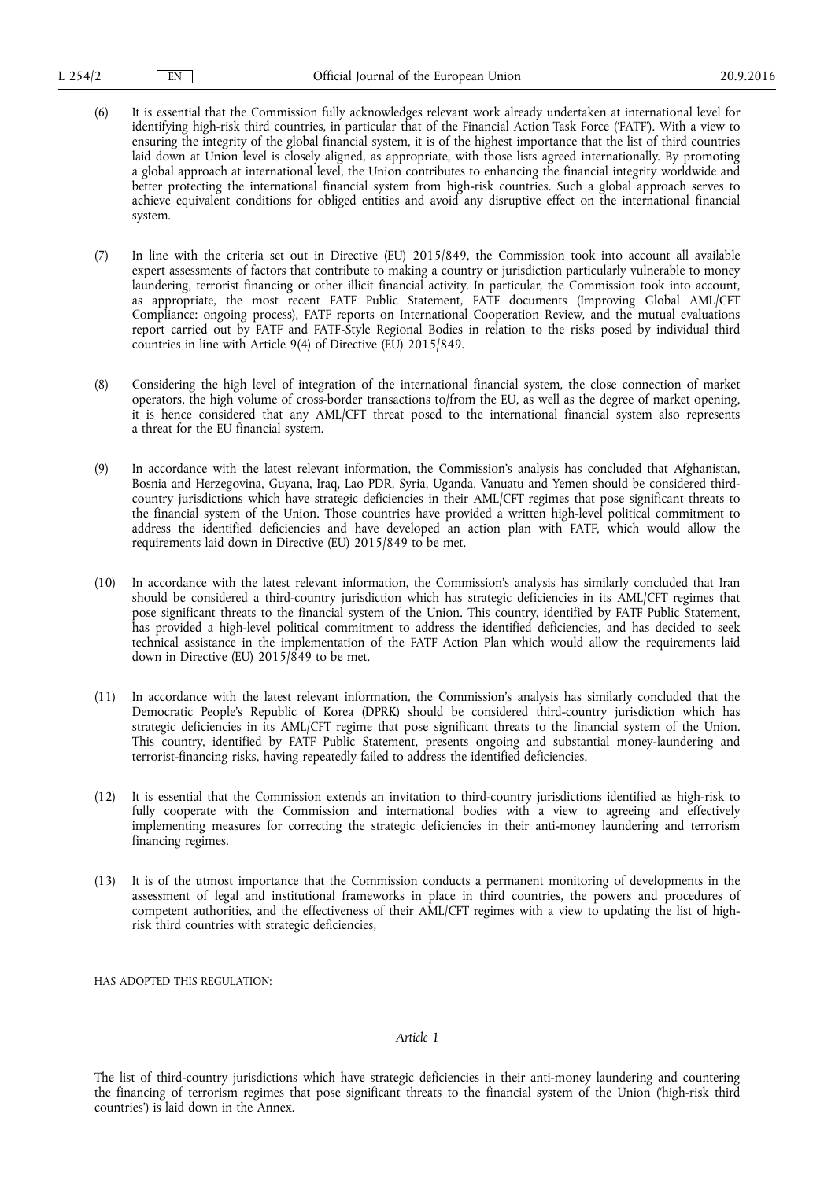- (6) It is essential that the Commission fully acknowledges relevant work already undertaken at international level for identifying high-risk third countries, in particular that of the Financial Action Task Force ('FATF'). With a view to ensuring the integrity of the global financial system, it is of the highest importance that the list of third countries laid down at Union level is closely aligned, as appropriate, with those lists agreed internationally. By promoting a global approach at international level, the Union contributes to enhancing the financial integrity worldwide and better protecting the international financial system from high-risk countries. Such a global approach serves to achieve equivalent conditions for obliged entities and avoid any disruptive effect on the international financial system.
- (7) In line with the criteria set out in Directive (EU) 2015/849, the Commission took into account all available expert assessments of factors that contribute to making a country or jurisdiction particularly vulnerable to money laundering, terrorist financing or other illicit financial activity. In particular, the Commission took into account, as appropriate, the most recent FATF Public Statement, FATF documents (Improving Global AML/CFT Compliance: ongoing process), FATF reports on International Cooperation Review, and the mutual evaluations report carried out by FATF and FATF-Style Regional Bodies in relation to the risks posed by individual third countries in line with Article 9(4) of Directive (EU) 2015/849.
- (8) Considering the high level of integration of the international financial system, the close connection of market operators, the high volume of cross-border transactions to/from the EU, as well as the degree of market opening, it is hence considered that any AML/CFT threat posed to the international financial system also represents a threat for the EU financial system.
- (9) In accordance with the latest relevant information, the Commission's analysis has concluded that Afghanistan, Bosnia and Herzegovina, Guyana, Iraq, Lao PDR, Syria, Uganda, Vanuatu and Yemen should be considered thirdcountry jurisdictions which have strategic deficiencies in their AML/CFT regimes that pose significant threats to the financial system of the Union. Those countries have provided a written high-level political commitment to address the identified deficiencies and have developed an action plan with FATF, which would allow the requirements laid down in Directive (EU) 2015/849 to be met.
- (10) In accordance with the latest relevant information, the Commission's analysis has similarly concluded that Iran should be considered a third-country jurisdiction which has strategic deficiencies in its AML/CFT regimes that pose significant threats to the financial system of the Union. This country, identified by FATF Public Statement, has provided a high-level political commitment to address the identified deficiencies, and has decided to seek technical assistance in the implementation of the FATF Action Plan which would allow the requirements laid down in Directive (EU) 2015/849 to be met.
- (11) In accordance with the latest relevant information, the Commission's analysis has similarly concluded that the Democratic People's Republic of Korea (DPRK) should be considered third-country jurisdiction which has strategic deficiencies in its AML/CFT regime that pose significant threats to the financial system of the Union. This country, identified by FATF Public Statement, presents ongoing and substantial money-laundering and terrorist-financing risks, having repeatedly failed to address the identified deficiencies.
- (12) It is essential that the Commission extends an invitation to third-country jurisdictions identified as high-risk to fully cooperate with the Commission and international bodies with a view to agreeing and effectively implementing measures for correcting the strategic deficiencies in their anti-money laundering and terrorism financing regimes.
- (13) It is of the utmost importance that the Commission conducts a permanent monitoring of developments in the assessment of legal and institutional frameworks in place in third countries, the powers and procedures of competent authorities, and the effectiveness of their AML/CFT regimes with a view to updating the list of highrisk third countries with strategic deficiencies,

HAS ADOPTED THIS REGULATION:

#### *Article 1*

The list of third-country jurisdictions which have strategic deficiencies in their anti-money laundering and countering the financing of terrorism regimes that pose significant threats to the financial system of the Union ('high-risk third countries') is laid down in the Annex.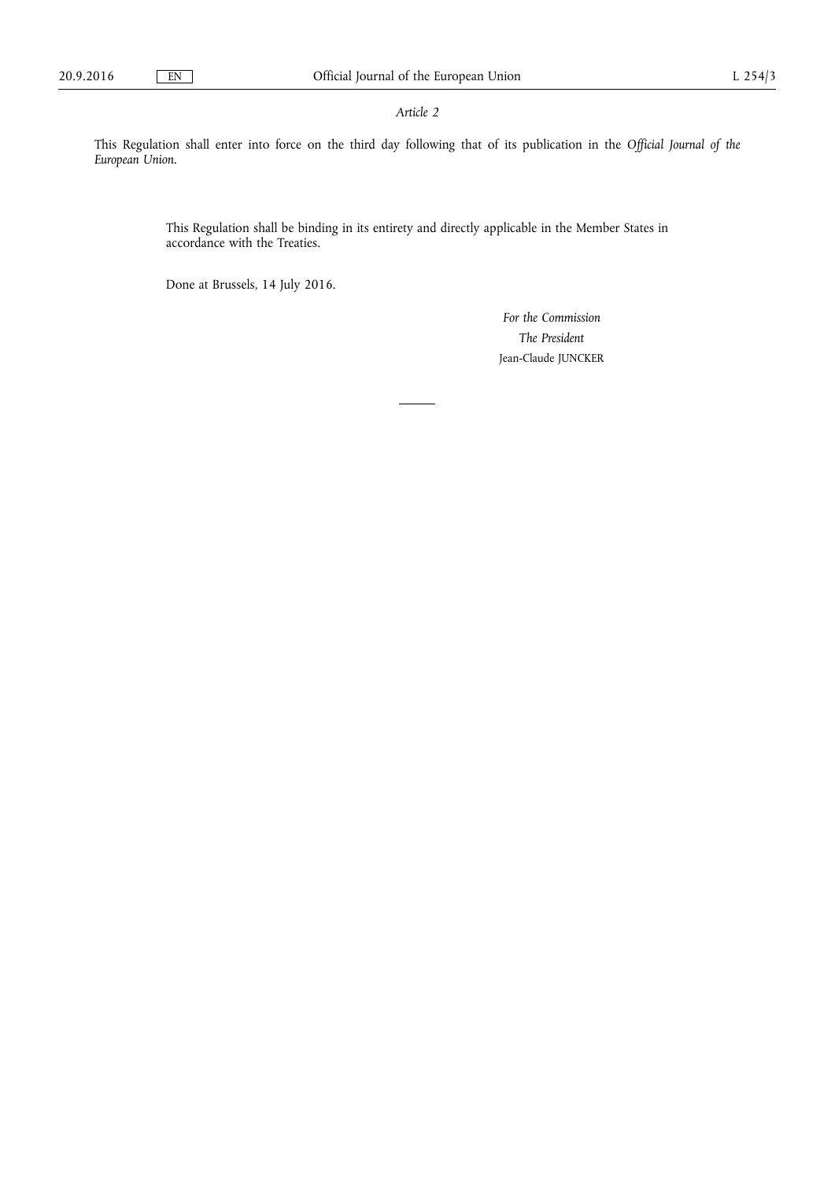## *Article 2*

This Regulation shall enter into force on the third day following that of its publication in the *Official Journal of the European Union*.

> This Regulation shall be binding in its entirety and directly applicable in the Member States in accordance with the Treaties.

Done at Brussels, 14 July 2016.

*For the Commission The President*  Jean-Claude JUNCKER